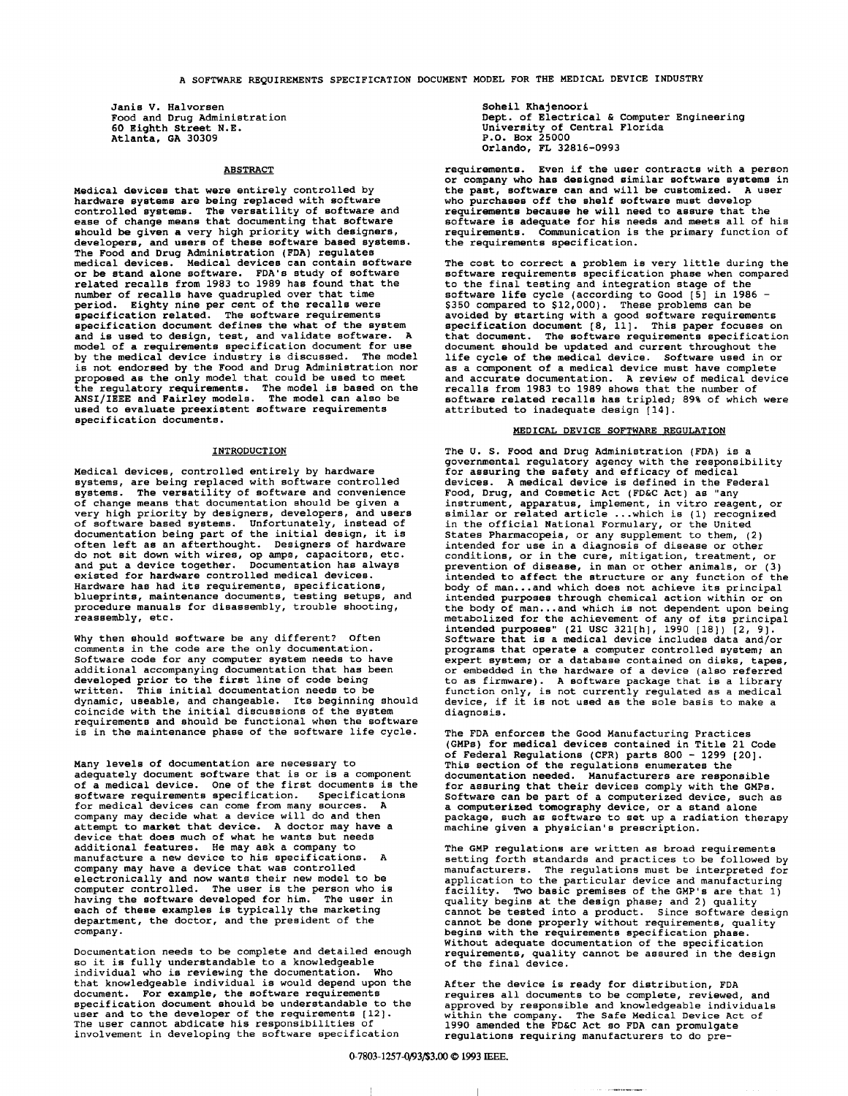Janis V. Halvorsen Food and Drug Administration 60 Eighth Street N.E. Atlanta, GA 30309

# **ABSTRACT**

Medical devices that were entirely controlled by<br>hardware systems are being replaced with software<br>controlled systems. The versatility of software and<br>ease of change means that documenting that software<br>should be given a v medical devices. Medical devices can contain software or be stand alone software. FDA's study of software related recalls from 1983 to 1989 has found that the number of recalls have quadrupled over that time period. Eighty nine per cent of the recalls were specification related. The software requirements specification document defines the what of the system and is used to design, test, and validate software. A<br>model of a requirements specification document for use<br>by the medical device industry is discussed. The model<br>is not endorsed by the Food and Drug Administration nor<br>pr used to evaluate preexistent software requirements specification documents.

## INTRODUCTION

Medical devices, controlled entirely by hardware systems, are being replaced with software controlled<br>systems. The versatility of software and convenience systems. The versatility of software and convenience<br>of change means that documentation should be given a<br>overy high priority by designers, developers, and users<br>of software based systems. Unfortunately, instead of<br>documen reassembly, etc.

Why then should software be any different? Often<br>comments in the code are the only documentation.<br>Software code for any computer system needs to have<br>additional accompanying documentation that has been<br>developed prior to t dynamic, useable, and changeable. Its beginning should coincide with the initial discussions of the system requirements and should be functional when the software is in the maintenance phase of the software life cycle.

Many levels of documentation are necessary to adequately document software that is or is a component of a medical device. One of the first documents is the software requirements specification. Specifications for medical devices can come from many sources. A company may decide what a device will do and then attempt to market that device. A doctor may have a device that does much of what he wants but needs additional features. He may ask a company to manufacture a new device to his specifications. A company may have a device that was controlled electronically and now wants their new model to be computer controlled. The user is the person who is having the software developed for him. The user in each of these examples is typically the marketing department, the doctor, and the president of the company.

Documentation needs to be complete and detailed enough so it is fully understandable to a knowledgeable individual who is reviewing the documentation. Who that knowledgeable individual is would depend upon the document. For example, the software requirements<br>specification document should be understandable to the<br>user and to the developer of the requirements [12].<br>The user cannot abdicate his responsibilities of involvement in developing the software specification

soheil Khajenoori Dept. of Electrical & Computer Engineering University of Central Florida P.O. Box 25000 Orlando, FL 32816-0993

requirements. Even if the user contracts with a person or company who has designed similar software systems in the past, software can and will be customized. A user the past, software can and will be customized. who purchases off the shelf software must develop requirements because he will need to assure that the software is adequate for his needs and meets all of his requirements. Communication is the primary function of the requirements specification.

The cost to correct a problem is very little during the software requirements specification phase when compared to the final testing and integration stage of the software life cycle (according to Good [5] in 1986 - \$350 compared to \$12,000). These problems can be avoided by starting with a good software requirements specification document [E, 111. This paper focuses on that document. The software requirements specification document should be updated and current throughout the life cycle of the medical device. Software used in or as a component of a medical device must have complete and accurate documentation. **A** review of medical device recalls from 1983 to 1989 shows that the number of software related recalls has tripled; 89% of which were attributed to inadequate design 1141.

## MEDICAL DEVICE SOFTWARE REGULATION

The U. **S.** Food and Drug Administration (FDA) is a governmental regulatory agency with the responsibility for assuring the safety and efficacy of medical devices. A medical device is defined in the Federal<br>Food, Drug, and Cosmetic Act (FD&C Act) as "any<br>instrument, apparatus, implement, in virto reagent, or<br>similar or related article ...which is (1) recognized<br>in the offici body of man...and which does not achieve its principal intended purposes through chemical action within or on intended purposes through chemical action within or on<br>the body of man...and which is not dependent upon being<br>metabolized for the achievement of any of its principal<br>intended purposes" (21 USC 321[h], 1990 [18]) [2, 9].<br>S programs that operate a computer controlled system; an expert system; or a database contained on disks, tapes, or embedded in the hardware of a device (also referred to as firmware). A software package that is a library fu diagnosis.

The FDA enforces the Good Manufacturing Practices (GMPs) for medical devices contained in Title 21 Code (GMPS) for medical devices contained in Title 21 Code<br>of Federal Regulations (CFR) parts 800 - 1299 (20).<br>This section of the regulations enumerates the<br>documentation needed. Manufacturers are responsible<br>for assuring that Software can be part of a computerized device, such as a computerized tomography device, or a stand alone package, such as software to set up a radiation therapy machine given a physician's prescription.

The GMP regulations are written as broad requirements setting forth standards and practices to be followed by manufacturers. The regulations must be interpreted for application to the particular device and manufacturing facility. Two basic premises of the GMP's are that 1) quality begins at the design phase; and **2)** quality cannot be tested into a product. Since software design cannot be done properly without requirements, quality begins with the requirements specification phase. Without adequate documentation of the specification requirements, quality cannot be assured in the design of the final device.

After the device is ready for distribution, FDA<br>requires all documents to be complete, reviewed, and<br>approved by responsible and knowledgeable individuals<br>within the company. The Safe Medical Device Act of<br>1990 amended the regulations requiring manufacturers to do pre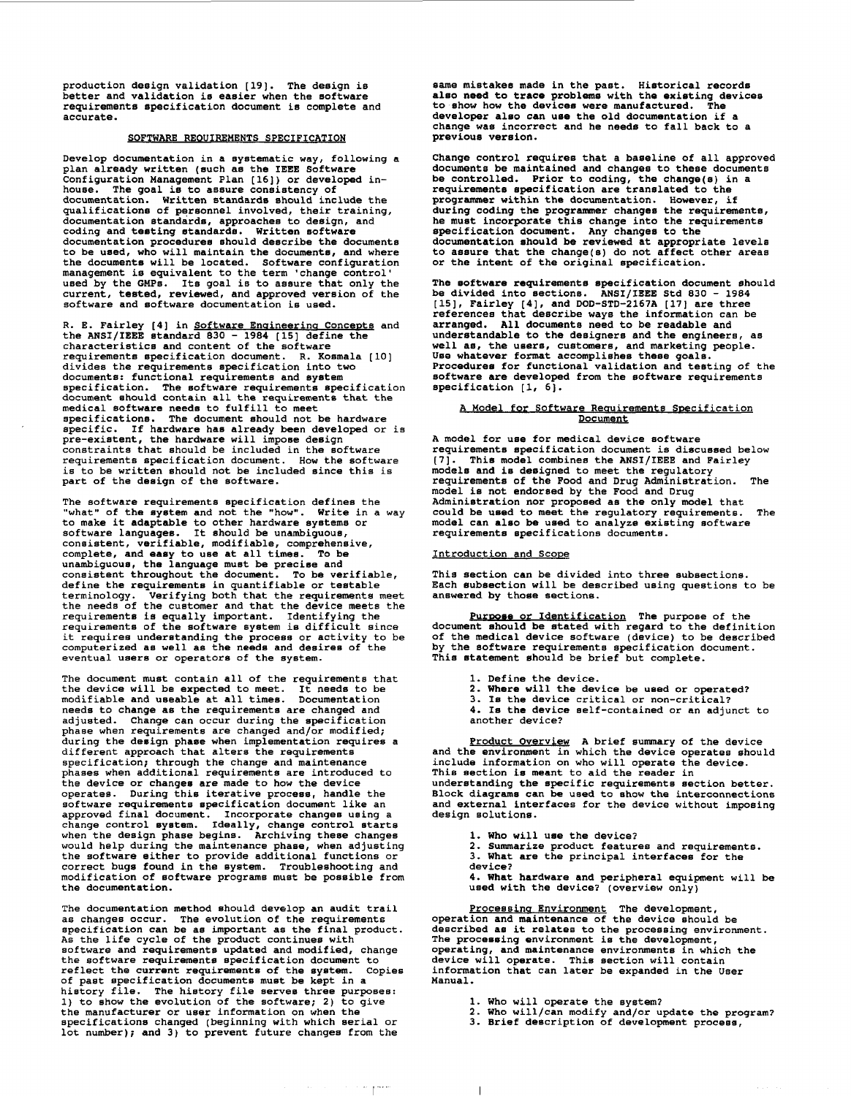**production design validation [19]. The design is better and validation is easier when the software requirements specification document is complete and accurate.** 

## **SOFTWARE REOUIREMENTS SPECIFICATION**

**Develop documentation in a systematic way, following a plan already written (such as the IEEE Software Configuration Management Plan [16]) or developed in**house. The goal is to assure consistency of<br>documentation. Written standards should include the<br>qualifications of personnel involved, their training,<br>documentation standards, approaches to design, and<br>coding and testing st **documentation procedures should describe the documents to be used, who will maintain the documents, and where the documents will be located. Software configuration**  management is equivalent to the term 'change control'<br>used by the GMPs. Its goal is to assure that only the<br>current, tested, reviewed, and approved version of the<br>software and software documentation is used.

R. E. Fairley [4] in <u>Software Engineering Concepts</u> and<br>the ANSI/IEEE standard 830 - 1984 [15] define the<br>characteristics and content of the software **requirements specification document. R. Kosmala** [lo] **divides the requirements specification into two documents: functional requirements and system specification. The software requirements specification document ahould contain a11 the requirements that the medical software needs to fulfill to meet**  specifications. The document should not be hardware<br>specific. If hardware has already been developed or is<br>pre-existent, the hardware will impose design<br>constraints that should be included in the software **requirements specification document. How the software is to be written should not be included since this is part of the design of the software.** 

**The software requirements specification defines the "what" of the system and not the "how". Write in a way to make it adaptable to other hardware systems or software languages. It should be unambiguous, consistent, verifiable, modifiable, comprehensive, complete, and easy to use at all times. To be unambiguous, the language must be precise and consistent throughout the document. To be verifiable, define the requirements in quantifiable or testable Verifying both that the requirements meet the needs of the customer and that the device meets the requirements is equally important. Identifying the requirements of the software system is difficult since it requires Understanding the process or activity to be computerized as well as the needs and desires of the eventual users or operators of the system.** 

**The document must contain all of the requirements that the device will be expected to meet. It needs to be modifiable and useable at all times. Documentation needs to change as the requirements are changed and adjusted. Change can occur during the specification phase when requirements are changed and/or modified; during the design phase when implementation requires a different approach that alters the requirements specification; through the change and maintenance phases when additional requirements are introduced to the device or changes are made to how the device operates. During this iterative process, handle the software requirements specification document like an approved final document. Incorporate changes using a change control system. Ideally, change control starts when the design phase begins. Archiving these changes would help during the maintenance phase, when adjusting the software either to provide additional functions or correct bugs found in the system. Troubleshooting and modification of software programs must be possible from the documentation.** 

The documentation method should develop an audit trail<br>as changes occur. The evolution of the requirements<br>specification can be as important as the final product.<br>As the life cycle of the product continues with<br>software an reflect the current requirements of the system. Copies<br>of past specification documents must be kept in a<br>history file. The history file serves three purposes:<br>1) to show the evolution of the software; 2) to give<br>the manufa **specifications changed (beginning with which serial or lot number); and 3) to prevent future changes from the** 

 $\sim$ 

**same mistakes made in the past. Historical records also need to trace problems with the existing devices to show how the devices were manufactured. The**  change was incorrect and he needs to fall back to a previous version.

**Change control requires that a baseline of all approved documents be maintained and changes to these documents**  requirements specification are translated to the **programmer within the documentation. However, if during coding the programmer changes the requirements, he must incorporate this change into the requirements specification document. Any changes to the documentation ahould be reviewed at appropriate levels to assure that the change(s) do not affect other areas or the intent of the original specification.** 

**The software requirements specification document should be divided into sections. ANSI/IEEE Std 830** - **<sup>1984</sup> [15], Fairley [4], and DOD-STD-2167A** [17] **are three references that describe ways the information can be arranged. All documents need to be readable and understandable to the designers and the engineers, as well as, the users, customers, and marketing people. Use whatever format accomplishes these goals. Procedures for functional validation and testing of the software are developed from the software requirements**  specification [1, 6].

### **A Model for Software Reauirements SDecification Document**

**A model for use for medical device software requirements specification document is discussed below**  (71. **This model combines the ANSI/IEEE and Fairley models and is designed to meet the regulatory**  requirements of the Food and Drug Administration. The<br>model is not endorsed by the Food and Drug<br>Administration nor proposed as the only model that<br>could be used to meet the regulatory requirements. The<br>model can also be u **requirements specifications documents. The** 

## **Introduction and Scope**

**This section can be divided into three subsections. Each subsection will be described using questions to be answered by those sections.** 

**Purpose or Identification** The purpose of the<br>document should be stated with regard to the definition **of the medical device software (device) to be described by the software requirements specification document. This statement should be brief but complete.** 

- **1. Define the device.**
- **2. Where will the device be used or operated?**
- **3. Is the device critical or non-critical? 4. Is the device self-contained or an adjunct to another device?**

**Product Overview A brief summary of the device and the environment in which the device operates should include information on who will operate the device. This section is meant to aid the reader in understanding the specific requirements section better. Block diagrams can be used to show the interconnections and external interfaces for the device without imposing design solutions.** 

> **1. Who will use the device? 2. Summarize product features and requirements. 3. What are the principal interfaces for the device? 4. What hardware and peripheral equipment will be used with the device? (overview only)**

**Processina Environment The development, operation and maintenance of the device should be described as it relates to the processing environment. The processing environment is the development, operating, and maintenance environments in which the device will operate. This section will contain information that can later be expanded in the User Manual.** 

- **1. Who will operate the system?**
- **2. Who will/can modify and/or update the program?**
- **3. Brief description of development process,**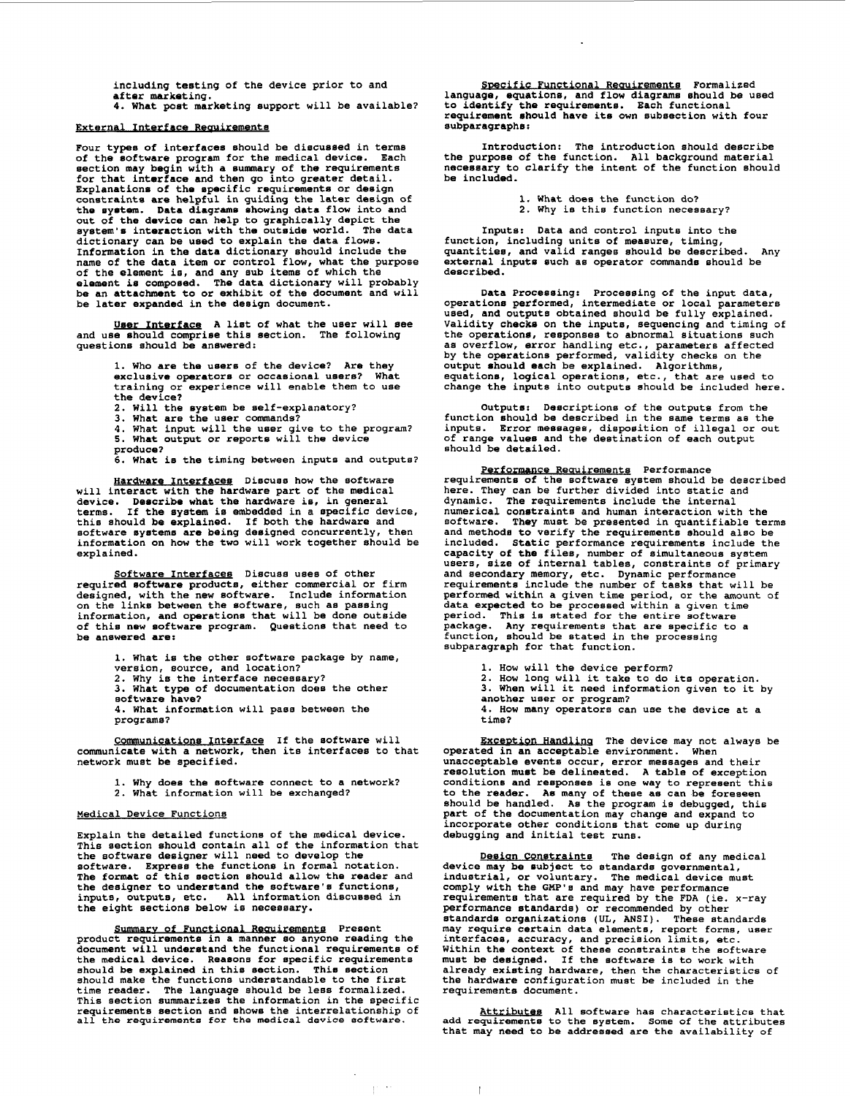**including testing of the device prior to and after marketing.** 

**4. What post marketing support will be available?** 

## **External Interface Requirements**

**Four types of interfaces should be discussed in terms of the software program for the medical device. Each section may begin with a summary of the requirements for that interface and then go into greater detail. Explanations of the specific requirements or design**  constraints are helpful in guiding the later design of<br>the system. Data diagrams showing data flow into and<br>out of the device can help to graphically depict the<br>system's interaction with the outside world. The data **dictionary can be used to explain the data flows.**  Information in the data dictionary should include the<br>name of the data item or control flow, what the purpose<br>of the element is, and any sub items of which the<br>element is composed. The data dictionary will probably **be an attachment to or exhibit of the document and will be later expanded in the design document.** 

**UBer Interface** A list of what the user will see and use should comprise this section. The following **questions should be answered:** 

> **1. Who are the users of the device? Are they exclusive operators or occasional users? What training or experience will enable them to use the device?**

- **2. Will the system be self-explanatory?**
- **3. What are the user commands?**

**4. What input will the user give to the program? 5. What output or reports will the device produce?** 

**6. What is the timing between inputs and outputs?** 

Hardware Interfaces Discuss how the software<br>will interact with the hardware part of the medical<br>device. Describe what the hardware is, in general<br>terms. If the system is embedded in a specific device,<br>this should be expla **software systems are being designed concurrently, then information on how the two will work together should be explained.** 

**Software Interfaces Discuss uses of other required software products, either commercial or firm**  designed, with the new software. Include information<br>on the links between the software, such as passing<br>information, and operations that will be done outside<br>of this new software program. Questions that need to **be answered are:** 

> **1. What is the other software package by name, version, source, and location? 2. Why is the interface necessary? 3. What type of documentation does the other Software have? 4. What information will pass between the programs?**

**Communications Interface If the software will communicate with a network, then its interfaces to that network must be specified.** 

> **1. Why does the software connect to a network? 2. What information will be exchanged?**

## **Medical Device Functions**

**Explain the detailed functions of the medical device. This section should contain all of the information that the software designer will need to develop the software. Express the functions in formal notation. The format of this section should allow the reader and the designer to understand the software's functions, inputs, outputs, etc. All information discussed in the eight sections below is necessary.** 

**product requirements in a manner so anyone reading the document will understand the functional requirements of the medical device. Reasons for specific requirements should be explained in this section. This section should make the functions understandable to the first time reader. The language should be less formalized. This section summarizes the information in the specific requirements section and shows the interrelationship of all the requirements for the medical device software.**  Summary of Functional Requirements Present

**Specific Functional Requirements** Formalized<br>
language, equations, and flow diagrams should be used<br>
to identify the requirements. Each functional<br> **requirement should have its own subsection with four subparagraphs:** 

**Introduction: The introduction should describe the purpose of the function. All background material necessary to clarify the intent of the function should be included.** 

> **1. What does the function do? 2. Why is this function necessary?**

**Inputs: Data and control inputs into the function, including units of measure, timing, quantities, and valid ranges should be described. Any external inputs such as operator commands should be described.** 

**Data Processing: Processing of the input data, operations performed, intermediate or local parameters used, and outputs obtained should be fully explained. Validity checke on the inputs, sequencing and timing of the operatione, responses to abnormal situations such as overflow, error handling etc., parameters affected by the operations performed, validity checks on the output should each be explained. Algorithms, equations, logical operations, etc., that are used to change the inputs into outputs should be included here.** 

**function should be described in the same terms as the inputs. Error messages, disposition of illegal or out of range values and the destination of each output should be detailed. Outputs: Descriptions of the outputs from the** 

Performance Requirements Performance<br>**requirements of the software system should be described here. They can be further divided into static and dynamic. The requirements include the internal numerical constraints and human interaction with the software. They must be presented in quantifiable terms and methods to verify the requirements should also be included. Static performance requirements include the capacity of the files, number of simultaneous system users, size of internal tables, constraints of primary and secondary memory, etc. Dynamic performance requirements include the number of tasks that will be performed within a given time period, or the amount of data expected to be processed within a given time period. This is stated for the entire software package. Any requirements that are specific to a function, should be stated in the processing subparagraph for that function.** 

**1. How will the device perform? 2. How long will it take to do its operation. 3. When will it need information given to it by another user or program? 4. How many operators can use the device at a t ime?** 

**Exception Handling The device may not always be**<br>operated in an acceptable environment. When **unacceptable events occur, error messages and their resolution must be delineated. A table of exception conditions and responses is one way to represent this to the reader. As many of these as can be foreseen should be handled. As the program is debugged, this part of the documentation may change and expand to incorporate other conditions that come up during debugging and initial test runs.** 

Design Constraints The design of any medical **device may be subject to standards governmental, industrial, or voluntary. The medical device must comply with the GMP's and may have performance requirements that are required by the FDA (ie. x-ray**  performance standards) or recommended by other<br>standards organizations (UL, ANSI). These standards<br>may require certain data elements, report forms, user<br>interfaces, accuracy, and precision limits, etc.<br>Within the context o **must be designed. If the software is to work with already existing hardware, then the characteristics of the hardware configuration must be included in the requirements document.** 

Attributes All software has characteristics that<br>add requirements to the system. Some of the attributes<br>that may need to be addressed are the availability of